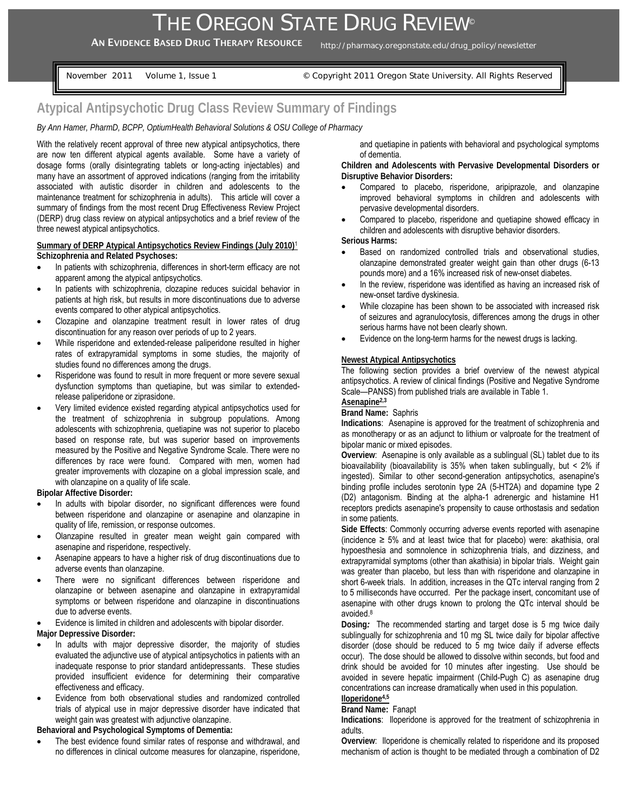AN EVIDENCE BASED DRUG THERAPY RESOURCE http://pharmacy.oregonstate.edu/drug\_policy/newsletter

November 2011 Volume 1, Issue 1 © Copyright 2011 Oregon State University. All Rights Reserved

# **Atypical Antipsychotic Drug Class Review Summary of Findings**

# *By Ann Hamer, PharmD, BCPP, OptiumHealth Behavioral Solutions & OSU College of Pharmacy*

With the relatively recent approval of three new atypical antipsychotics, there are now ten different atypical agents available. Some have a variety of dosage forms (orally disintegrating tablets or long-acting injectables) and many have an assortment of approved indications (ranging from the irritability associated with autistic disorder in children and adolescents to the maintenance treatment for schizophrenia in adults). This article will cover a summary of findings from the most recent Drug Effectiveness Review Project (DERP) drug class review on atypical antipsychotics and a brief review of the three newest atypical antipsychotics.

## **Summary of DERP Atypical Antipsychotics Review Findings (July 2010)**<sup>1</sup> **Schizophrenia and Related Psychoses:**

- In patients with schizophrenia, differences in short-term efficacy are not apparent among the atypical antipsychotics.
- In patients with schizophrenia, clozapine reduces suicidal behavior in patients at high risk, but results in more discontinuations due to adverse events compared to other atypical antipsychotics.
- Clozapine and olanzapine treatment result in lower rates of drug discontinuation for any reason over periods of up to 2 years.
- While risperidone and extended-release paliperidone resulted in higher rates of extrapyramidal symptoms in some studies, the majority of studies found no differences among the drugs.
- Risperidone was found to result in more frequent or more severe sexual dysfunction symptoms than quetiapine, but was similar to extendedrelease paliperidone or ziprasidone.
- Very limited evidence existed regarding atypical antipsychotics used for the treatment of schizophrenia in subgroup populations. Among adolescents with schizophrenia, quetiapine was not superior to placebo based on response rate, but was superior based on improvements measured by the Positive and Negative Syndrome Scale. There were no differences by race were found. Compared with men, women had greater improvements with clozapine on a global impression scale, and with olanzapine on a quality of life scale.

**Bipolar Affective Disorder:** 

- In adults with bipolar disorder, no significant differences were found between risperidone and olanzapine or asenapine and olanzapine in quality of life, remission, or response outcomes.
- Olanzapine resulted in greater mean weight gain compared with asenapine and risperidone, respectively.
- Asenapine appears to have a higher risk of drug discontinuations due to adverse events than olanzapine.
- There were no significant differences between risperidone and olanzapine or between asenapine and olanzapine in extrapyramidal symptoms or between risperidone and olanzapine in discontinuations due to adverse events.

• Evidence is limited in children and adolescents with bipolar disorder. **Major Depressive Disorder:** 

- In adults with major depressive disorder, the majority of studies evaluated the adjunctive use of atypical antipsychotics in patients with an inadequate response to prior standard antidepressants. These studies provided insufficient evidence for determining their comparative effectiveness and efficacy.
- Evidence from both observational studies and randomized controlled trials of atypical use in major depressive disorder have indicated that weight gain was greatest with adjunctive olanzapine.

**Behavioral and Psychological Symptoms of Dementia:** 

The best evidence found similar rates of response and withdrawal, and no differences in clinical outcome measures for olanzapine, risperidone, and quetiapine in patients with behavioral and psychological symptoms of dementia.

**Children and Adolescents with Pervasive Developmental Disorders or Disruptive Behavior Disorders:** 

- Compared to placebo, risperidone, aripiprazole, and olanzapine improved behavioral symptoms in children and adolescents with pervasive developmental disorders.
- Compared to placebo, risperidone and quetiapine showed efficacy in children and adolescents with disruptive behavior disorders.

**Serious Harms:** 

- Based on randomized controlled trials and observational studies, olanzapine demonstrated greater weight gain than other drugs (6-13 pounds more) and a 16% increased risk of new-onset diabetes.
- In the review, risperidone was identified as having an increased risk of new-onset tardive dyskinesia.
- While clozapine has been shown to be associated with increased risk of seizures and agranulocytosis, differences among the drugs in other serious harms have not been clearly shown.
- Evidence on the long-term harms for the newest drugs is lacking.

## **Newest Atypical Antipsychotics**

The following section provides a brief overview of the newest atypical antipsychotics. A review of clinical findings (Positive and Negative Syndrome Scale—PANSS) from published trials are available in Table 1.

# **Asenapine2,3**

# **Brand Name:** Saphris

**Indications**: Asenapine is approved for the treatment of schizophrenia and as monotherapy or as an adjunct to lithium or valproate for the treatment of bipolar manic or mixed episodes.

**Overview**: Asenapine is only available as a sublingual (SL) tablet due to its bioavailability (bioavailability is 35% when taken sublingually, but < 2% if ingested). Similar to other second-generation antipsychotics, asenapine's binding profile includes serotonin type 2A (5-HT2A) and dopamine type 2 (D2) antagonism. Binding at the alpha-1 adrenergic and histamine H1 receptors predicts asenapine's propensity to cause orthostasis and sedation in some patients.

**Side Effects**: Commonly occurring adverse events reported with asenapine (incidence  $\geq$  5% and at least twice that for placebo) were: akathisia, oral hypoesthesia and somnolence in schizophrenia trials, and dizziness, and extrapyramidal symptoms (other than akathisia) in bipolar trials. Weight gain was greater than placebo, but less than with risperidone and olanzapine in short 6-week trials. In addition, increases in the QTc interval ranging from 2 to 5 milliseconds have occurred. Per the package insert, concomitant use of asenapine with other drugs known to prolong the QTc interval should be avoided.8

**Dosing***:* The recommended starting and target dose is 5 mg twice daily sublingually for schizophrenia and 10 mg SL twice daily for bipolar affective disorder (dose should be reduced to 5 mg twice daily if adverse effects occur). The dose should be allowed to dissolve within seconds, but food and drink should be avoided for 10 minutes after ingesting. Use should be avoided in severe hepatic impairment (Child-Pugh C) as asenapine drug concentrations can increase dramatically when used in this population.

#### **Iloperidone4,5 Brand Name:** Fanapt

**Indications**: Iloperidone is approved for the treatment of schizophrenia in adults.

**Overview**: Iloperidone is chemically related to risperidone and its proposed mechanism of action is thought to be mediated through a combination of D2